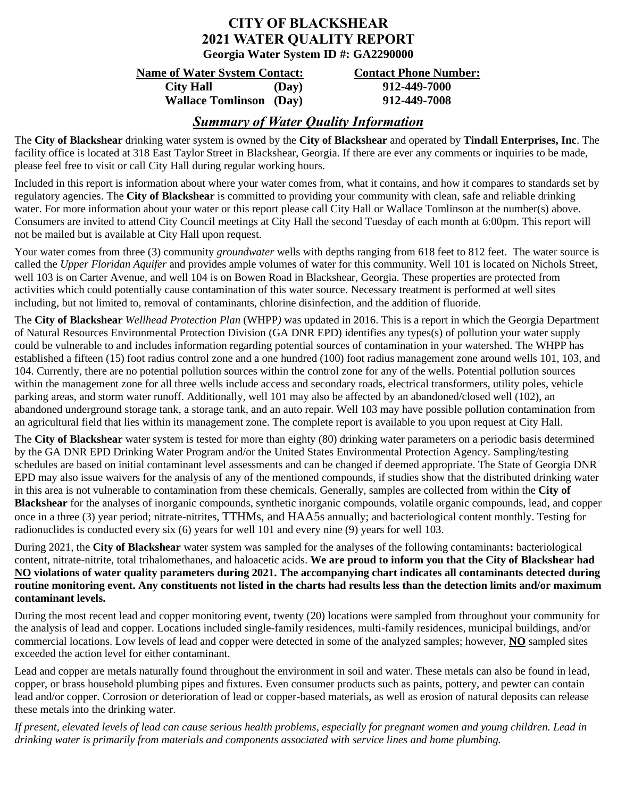## **CITY OF BLACKSHEAR 2021 WATER QUALITY REPORT Georgia Water System ID #: GA2290000**

### **Name of Water System Contact: Contact Phone Number:**

**City Hall (Day) 912-449-7000 Wallace Tomlinson (Day) 912-449-7008**

# *Summary of Water Quality Information*

The **City of Blackshear** drinking water system is owned by the **City of Blackshear** and operated by **Tindall Enterprises, Inc**. The facility office is located at 318 East Taylor Street in Blackshear, Georgia. If there are ever any comments or inquiries to be made, please feel free to visit or call City Hall during regular working hours.

Included in this report is information about where your water comes from, what it contains, and how it compares to standards set by regulatory agencies. The **City of Blackshear** is committed to providing your community with clean, safe and reliable drinking water. For more information about your water or this report please call City Hall or Wallace Tomlinson at the number(s) above. Consumers are invited to attend City Council meetings at City Hall the second Tuesday of each month at 6:00pm. This report will not be mailed but is available at City Hall upon request.

Your water comes from three (3) community *groundwater* wells with depths ranging from 618 feet to 812 feet. The water source is called the *Upper Floridan Aquifer* and provides ample volumes of water for this community. Well 101 is located on Nichols Street, well 103 is on Carter Avenue, and well 104 is on Bowen Road in Blackshear, Georgia. These properties are protected from activities which could potentially cause contamination of this water source. Necessary treatment is performed at well sites including, but not limited to, removal of contaminants, chlorine disinfection, and the addition of fluoride.

The **City of Blackshear** *Wellhead Protection Plan* (WHPP*)* was updated in 2016. This is a report in which the Georgia Department of Natural Resources Environmental Protection Division (GA DNR EPD) identifies any types(s) of pollution your water supply could be vulnerable to and includes information regarding potential sources of contamination in your watershed. The WHPP has established a fifteen (15) foot radius control zone and a one hundred (100) foot radius management zone around wells 101, 103, and 104. Currently, there are no potential pollution sources within the control zone for any of the wells. Potential pollution sources within the management zone for all three wells include access and secondary roads, electrical transformers, utility poles, vehicle parking areas, and storm water runoff. Additionally, well 101 may also be affected by an abandoned/closed well (102), an abandoned underground storage tank, a storage tank, and an auto repair. Well 103 may have possible pollution contamination from an agricultural field that lies within its management zone. The complete report is available to you upon request at City Hall.

The **City of Blackshear** water system is tested for more than eighty (80) drinking water parameters on a periodic basis determined by the GA DNR EPD Drinking Water Program and/or the United States Environmental Protection Agency. Sampling/testing schedules are based on initial contaminant level assessments and can be changed if deemed appropriate. The State of Georgia DNR EPD may also issue waivers for the analysis of any of the mentioned compounds, if studies show that the distributed drinking water in this area is not vulnerable to contamination from these chemicals. Generally, samples are collected from within the **City of Blackshear** for the analyses of inorganic compounds, synthetic inorganic compounds, volatile organic compounds, lead, and copper once in a three (3) year period; nitrate-nitrites, TTHMs, and HAA5s annually; and bacteriological content monthly. Testing for radionuclides is conducted every six (6) years for well 101 and every nine (9) years for well 103.

During 2021, the **City of Blackshear** water system was sampled for the analyses of the following contaminants**:** bacteriological content, nitrate-nitrite, total trihalomethanes, and haloacetic acids. **We are proud to inform you that the City of Blackshear had NO violations of water quality parameters during 2021. The accompanying chart indicates all contaminants detected during routine monitoring event. Any constituents not listed in the charts had results less than the detection limits and/or maximum contaminant levels.** 

During the most recent lead and copper monitoring event, twenty (20) locations were sampled from throughout your community for the analysis of lead and copper. Locations included single-family residences, multi-family residences, municipal buildings, and/or commercial locations. Low levels of lead and copper were detected in some of the analyzed samples; however, **NO** sampled sites exceeded the action level for either contaminant.

Lead and copper are metals naturally found throughout the environment in soil and water. These metals can also be found in lead, copper, or brass household plumbing pipes and fixtures. Even consumer products such as paints, pottery, and pewter can contain lead and/or copper. Corrosion or deterioration of lead or copper-based materials, as well as erosion of natural deposits can release these metals into the drinking water.

*If present, elevated levels of lead can cause serious health problems, especially for pregnant women and young children. Lead in drinking water is primarily from materials and components associated with service lines and home plumbing.*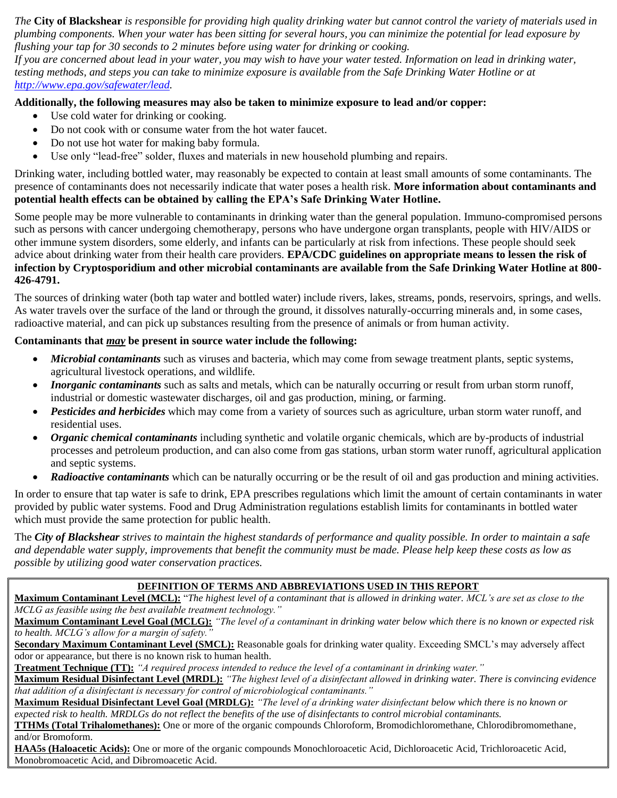*The* **City of Blackshear** *is responsible for providing high quality drinking water but cannot control the variety of materials used in plumbing components. When your water has been sitting for several hours, you can minimize the potential for lead exposure by flushing your tap for 30 seconds to 2 minutes before using water for drinking or cooking.* 

*If you are concerned about lead in your water, you may wish to have your water tested. Information on lead in drinking water, testing methods, and steps you can take to minimize exposure is available from the Safe Drinking Water Hotline or at [http://www.epa.gov/safewater/lead.](http://www.epa.gov/safewater/lead)*

#### **Additionally, the following measures may also be taken to minimize exposure to lead and/or copper:**

- Use cold water for drinking or cooking.
- Do not cook with or consume water from the hot water faucet.
- Do not use hot water for making baby formula.
- Use only "lead-free" solder, fluxes and materials in new household plumbing and repairs.

Drinking water, including bottled water, may reasonably be expected to contain at least small amounts of some contaminants. The presence of contaminants does not necessarily indicate that water poses a health risk. **More information about contaminants and potential health effects can be obtained by calling the EPA's Safe Drinking Water Hotline.**

Some people may be more vulnerable to contaminants in drinking water than the general population. Immuno-compromised persons such as persons with cancer undergoing chemotherapy, persons who have undergone organ transplants, people with HIV/AIDS or other immune system disorders, some elderly, and infants can be particularly at risk from infections. These people should seek advice about drinking water from their health care providers. **EPA/CDC guidelines on appropriate means to lessen the risk of infection by Cryptosporidium and other microbial contaminants are available from the Safe Drinking Water Hotline at 800- 426-4791.**

The sources of drinking water (both tap water and bottled water) include rivers, lakes, streams, ponds, reservoirs, springs, and wells. As water travels over the surface of the land or through the ground, it dissolves naturally-occurring minerals and, in some cases, radioactive material, and can pick up substances resulting from the presence of animals or from human activity.

### **Contaminants that** *may* **be present in source water include the following:**

- *Microbial contaminants* such as viruses and bacteria, which may come from sewage treatment plants, septic systems, agricultural livestock operations, and wildlife.
- *Inorganic contaminants* such as salts and metals, which can be naturally occurring or result from urban storm runoff, industrial or domestic wastewater discharges, oil and gas production, mining, or farming.
- *Pesticides and herbicides* which may come from a variety of sources such as agriculture, urban storm water runoff, and residential uses.
- *Organic chemical contaminants* including synthetic and volatile organic chemicals, which are by-products of industrial processes and petroleum production, and can also come from gas stations, urban storm water runoff, agricultural application and septic systems.
- **Radioactive contaminants** which can be naturally occurring or be the result of oil and gas production and mining activities.

In order to ensure that tap water is safe to drink, EPA prescribes regulations which limit the amount of certain contaminants in water provided by public water systems. Food and Drug Administration regulations establish limits for contaminants in bottled water which must provide the same protection for public health.

The *City of Blackshear strives to maintain the highest standards of performance and quality possible. In order to maintain a safe and dependable water supply, improvements that benefit the community must be made. Please help keep these costs as low as possible by utilizing good water conservation practices.*

#### **DEFINITION OF TERMS AND ABBREVIATIONS USED IN THIS REPORT**

**Maximum Contaminant Level (MCL):** "*The highest level of a contaminant that is allowed in drinking water. MCL's are set as close to the MCLG as feasible using the best available treatment technology."*

**Maximum Contaminant Level Goal (MCLG):** *"The level of a contaminant in drinking water below which there is no known or expected risk to health. MCLG's allow for a margin of safety."*

**Secondary Maximum Contaminant Level (SMCL):** Reasonable goals for drinking water quality. Exceeding SMCL's may adversely affect odor or appearance, but there is no known risk to human health.

**Treatment Technique (TT):** *"A required process intended to reduce the level of a contaminant in drinking water."*

**Maximum Residual Disinfectant Level (MRDL):** *"The highest level of a disinfectant allowed in drinking water. There is convincing evidence that addition of a disinfectant is necessary for control of microbiological contaminants."*

**Maximum Residual Disinfectant Level Goal (MRDLG):** *"The level of a drinking water disinfectant below which there is no known or expected risk to health. MRDLGs do not reflect the benefits of the use of disinfectants to control microbial contaminants.*

**TTHMs (Total Trihalomethanes):** One or more of the organic compounds Chloroform, Bromodichloromethane, Chlorodibromomethane, and/or Bromoform.

**HAA5s (Haloacetic Acids):** One or more of the organic compounds Monochloroacetic Acid, Dichloroacetic Acid, Trichloroacetic Acid, Monobromoacetic Acid, and Dibromoacetic Acid.